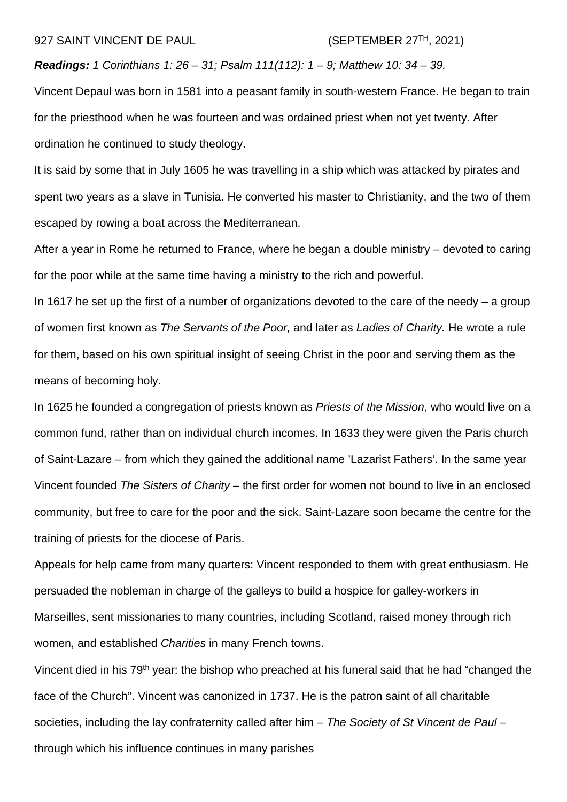## 927 SAINT VINCENT DE PAUL  $(SEPTEMBER 27<sup>TH</sup>, 2021)$

*Readings: 1 Corinthians 1: 26 – 31; Psalm 111(112): 1 – 9; Matthew 10: 34 – 39.*

Vincent Depaul was born in 1581 into a peasant family in south-western France. He began to train for the priesthood when he was fourteen and was ordained priest when not yet twenty. After ordination he continued to study theology.

It is said by some that in July 1605 he was travelling in a ship which was attacked by pirates and spent two years as a slave in Tunisia. He converted his master to Christianity, and the two of them escaped by rowing a boat across the Mediterranean.

After a year in Rome he returned to France, where he began a double ministry – devoted to caring for the poor while at the same time having a ministry to the rich and powerful.

In 1617 he set up the first of a number of organizations devoted to the care of the needy  $-$  a group of women first known as *The Servants of the Poor,* and later as *Ladies of Charity.* He wrote a rule for them, based on his own spiritual insight of seeing Christ in the poor and serving them as the means of becoming holy.

In 1625 he founded a congregation of priests known as *Priests of the Mission,* who would live on a common fund, rather than on individual church incomes. In 1633 they were given the Paris church of Saint-Lazare – from which they gained the additional name 'Lazarist Fathers'. In the same year Vincent founded *The Sisters of Charity –* the first order for women not bound to live in an enclosed community, but free to care for the poor and the sick. Saint-Lazare soon became the centre for the training of priests for the diocese of Paris.

Appeals for help came from many quarters: Vincent responded to them with great enthusiasm. He persuaded the nobleman in charge of the galleys to build a hospice for galley-workers in Marseilles, sent missionaries to many countries, including Scotland, raised money through rich women, and established *Charities* in many French towns.

Vincent died in his 79<sup>th</sup> year: the bishop who preached at his funeral said that he had "changed the face of the Church". Vincent was canonized in 1737. He is the patron saint of all charitable societies, including the lay confraternity called after him – *The Society of St Vincent de Paul* – through which his influence continues in many parishes